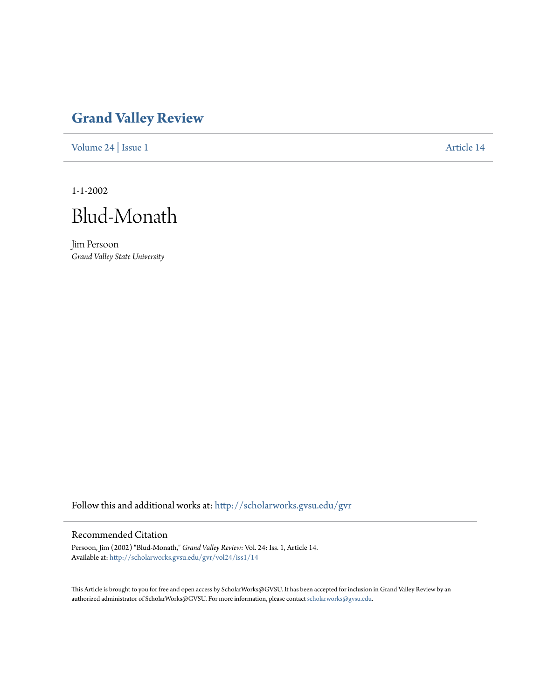## **[Grand Valley Review](http://scholarworks.gvsu.edu/gvr?utm_source=scholarworks.gvsu.edu%2Fgvr%2Fvol24%2Fiss1%2F14&utm_medium=PDF&utm_campaign=PDFCoverPages)**

[Volume 24](http://scholarworks.gvsu.edu/gvr/vol24?utm_source=scholarworks.gvsu.edu%2Fgvr%2Fvol24%2Fiss1%2F14&utm_medium=PDF&utm_campaign=PDFCoverPages) | [Issue 1](http://scholarworks.gvsu.edu/gvr/vol24/iss1?utm_source=scholarworks.gvsu.edu%2Fgvr%2Fvol24%2Fiss1%2F14&utm_medium=PDF&utm_campaign=PDFCoverPages) [Article 14](http://scholarworks.gvsu.edu/gvr/vol24/iss1/14?utm_source=scholarworks.gvsu.edu%2Fgvr%2Fvol24%2Fiss1%2F14&utm_medium=PDF&utm_campaign=PDFCoverPages)

1-1-2002



Jim Persoon *Grand Valley State University*

Follow this and additional works at: [http://scholarworks.gvsu.edu/gvr](http://scholarworks.gvsu.edu/gvr?utm_source=scholarworks.gvsu.edu%2Fgvr%2Fvol24%2Fiss1%2F14&utm_medium=PDF&utm_campaign=PDFCoverPages)

## Recommended Citation

Persoon, Jim (2002) "Blud-Monath," *Grand Valley Review*: Vol. 24: Iss. 1, Article 14. Available at: [http://scholarworks.gvsu.edu/gvr/vol24/iss1/14](http://scholarworks.gvsu.edu/gvr/vol24/iss1/14?utm_source=scholarworks.gvsu.edu%2Fgvr%2Fvol24%2Fiss1%2F14&utm_medium=PDF&utm_campaign=PDFCoverPages)

This Article is brought to you for free and open access by ScholarWorks@GVSU. It has been accepted for inclusion in Grand Valley Review by an authorized administrator of ScholarWorks@GVSU. For more information, please contact [scholarworks@gvsu.edu.](mailto:scholarworks@gvsu.edu)